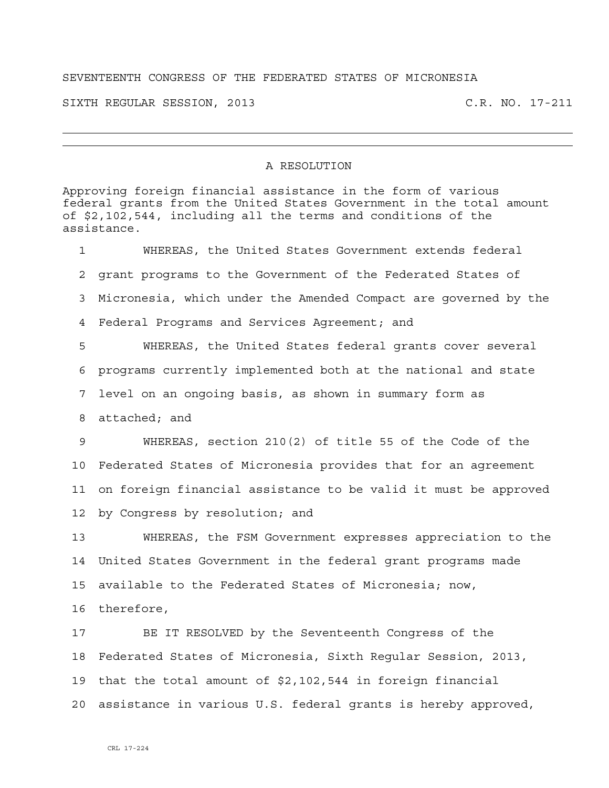## SEVENTEENTH CONGRESS OF THE FEDERATED STATES OF MICRONESIA

SIXTH REGULAR SESSION, 2013 C.R. NO. 17-211

## A RESOLUTION

Approving foreign financial assistance in the form of various federal grants from the United States Government in the total amount of \$2,102,544, including all the terms and conditions of the assistance. 1 WHEREAS, the United States Government extends federal 2 grant programs to the Government of the Federated States of 3 Micronesia, which under the Amended Compact are governed by the 4 Federal Programs and Services Agreement; and 5 WHEREAS, the United States federal grants cover several 6 programs currently implemented both at the national and state 7 level on an ongoing basis, as shown in summary form as 8 attached; and 9 WHEREAS, section 210(2) of title 55 of the Code of the 10 Federated States of Micronesia provides that for an agreement 11 on foreign financial assistance to be valid it must be approved 12 by Congress by resolution; and 13 WHEREAS, the FSM Government expresses appreciation to the 14 United States Government in the federal grant programs made 15 available to the Federated States of Micronesia; now, 16 therefore, 17 BE IT RESOLVED by the Seventeenth Congress of the 18 Federated States of Micronesia, Sixth Regular Session, 2013, 19 that the total amount of \$2,102,544 in foreign financial 20 assistance in various U.S. federal grants is hereby approved,